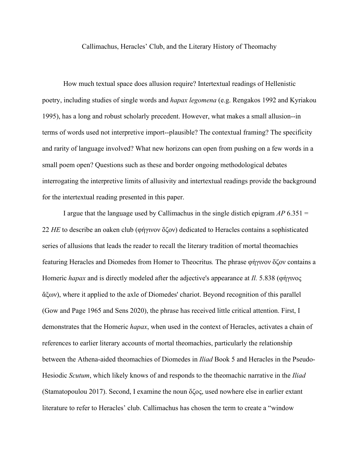Callimachus, Heracles' Club, and the Literary History of Theomachy

How much textual space does allusion require? Intertextual readings of Hellenistic poetry, including studies of single words and *hapax legomena* (e.g. Rengakos 1992 and Kyriakou 1995), has a long and robust scholarly precedent. However, what makes a small allusion--in terms of words used not interpretive import--plausible? The contextual framing? The specificity and rarity of language involved? What new horizons can open from pushing on a few words in a small poem open? Questions such as these and border ongoing methodological debates interrogating the interpretive limits of allusivity and intertextual readings provide the background for the intertextual reading presented in this paper.

I argue that the language used by Callimachus in the single distich epigram  $AP 6.351 =$ 22 *HE* to describe an oaken club (φήγινον ὄζον) dedicated to Heracles contains a sophisticated series of allusions that leads the reader to recall the literary tradition of mortal theomachies featuring Heracles and Diomedes from Homer to Theocritus*.* The phrase φήγινον ὄζον contains a Homeric *hapax* and is directly modeled after the adjective's appearance at *Il.* 5.838 (φήγινος ἄξων), where it applied to the axle of Diomedes' chariot. Beyond recognition of this parallel (Gow and Page 1965 and Sens 2020), the phrase has received little critical attention. First, I demonstrates that the Homeric *hapax*, when used in the context of Heracles, activates a chain of references to earlier literary accounts of mortal theomachies, particularly the relationship between the Athena-aided theomachies of Diomedes in *Iliad* Book 5 and Heracles in the Pseudo-Hesiodic *Scutum*, which likely knows of and responds to the theomachic narrative in the *Iliad* (Stamatopoulou 2017). Second, I examine the noun ὄζος, used nowhere else in earlier extant literature to refer to Heracles' club. Callimachus has chosen the term to create a "window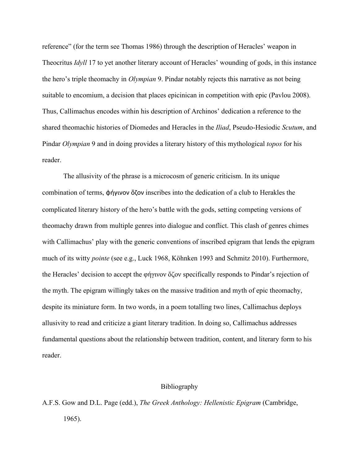reference" (for the term see Thomas 1986) through the description of Heracles' weapon in Theocritus *Idyll* 17 to yet another literary account of Heracles' wounding of gods, in this instance the hero's triple theomachy in *Olympian* 9. Pindar notably rejects this narrative as not being suitable to encomium, a decision that places epicinican in competition with epic (Pavlou 2008). Thus, Callimachus encodes within his description of Archinos' dedication a reference to the shared theomachic histories of Diomedes and Heracles in the *Iliad*, Pseudo-Hesiodic *Scutum*, and Pindar *Olympian* 9 and in doing provides a literary history of this mythological *topos* for his reader.

The allusivity of the phrase is a microcosm of generic criticism. In its unique combination of terms, φήγινον ὄζον inscribes into the dedication of a club to Herakles the complicated literary history of the hero's battle with the gods, setting competing versions of theomachy drawn from multiple genres into dialogue and conflict. This clash of genres chimes with Callimachus' play with the generic conventions of inscribed epigram that lends the epigram much of its witty *pointe* (see e.g., Luck 1968, Köhnken 1993 and Schmitz 2010). Furthermore, the Heracles' decision to accept the φήγινον ὄζον specifically responds to Pindar's rejection of the myth. The epigram willingly takes on the massive tradition and myth of epic theomachy, despite its miniature form. In two words, in a poem totalling two lines, Callimachus deploys allusivity to read and criticize a giant literary tradition. In doing so, Callimachus addresses fundamental questions about the relationship between tradition, content, and literary form to his reader.

## Bibliography

## A.F.S. Gow and D.L. Page (edd.), *The Greek Anthology: Hellenistic Epigram* (Cambridge, 1965).